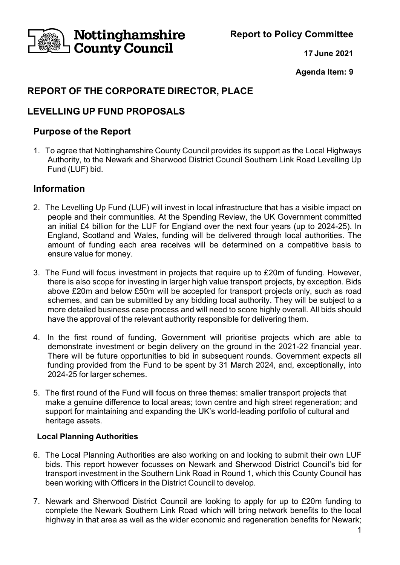Nottinghamshire **County Council** 

**Report to Policy Committee**

**17 June 2021**

**Agenda Item: 9**

# **REPORT OF THE CORPORATE DIRECTOR, PLACE**

## **LEVELLING UP FUND PROPOSALS**

### **Purpose of the Report**

1. To agree that Nottinghamshire County Council provides its support as the Local Highways Authority, to the Newark and Sherwood District Council Southern Link Road Levelling Up Fund (LUF) bid.

### **Information**

- 2. The Levelling Up Fund (LUF) will invest in local infrastructure that has a visible impact on people and their communities. At the Spending Review, the UK Government committed an initial £4 billion for the LUF for England over the next four years (up to 2024-25). In England, Scotland and Wales, funding will be delivered through local authorities. The amount of funding each area receives will be determined on a competitive basis to ensure value for money.
- 3. The Fund will focus investment in projects that require up to £20m of funding. However, there is also scope for investing in larger high value transport projects, by exception. Bids above £20m and below £50m will be accepted for transport projects only, such as road schemes, and can be submitted by any bidding local authority. They will be subject to a more detailed business case process and will need to score highly overall. All bids should have the approval of the relevant authority responsible for delivering them.
- 4. In the first round of funding, Government will prioritise projects which are able to demonstrate investment or begin delivery on the ground in the 2021-22 financial year. There will be future opportunities to bid in subsequent rounds. Government expects all funding provided from the Fund to be spent by 31 March 2024, and, exceptionally, into 2024-25 for larger schemes.
- 5. The first round of the Fund will focus on three themes: smaller transport projects that make a genuine difference to local areas; town centre and high street regeneration; and support for maintaining and expanding the UK's world-leading portfolio of cultural and heritage assets.

### **Local Planning Authorities**

- 6. The Local Planning Authorities are also working on and looking to submit their own LUF bids. This report however focusses on Newark and Sherwood District Council's bid for transport investment in the Southern Link Road in Round 1, which this County Council has been working with Officers in the District Council to develop.
- 7. Newark and Sherwood District Council are looking to apply for up to £20m funding to complete the Newark Southern Link Road which will bring network benefits to the local highway in that area as well as the wider economic and regeneration benefits for Newark;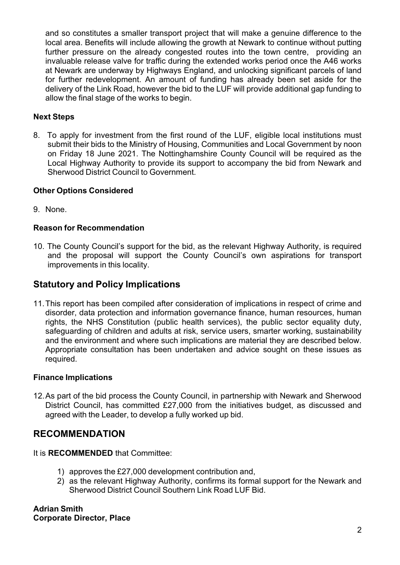and so constitutes a smaller transport project that will make a genuine difference to the local area. Benefits will include allowing the growth at Newark to continue without putting further pressure on the already congested routes into the town centre, providing an invaluable release valve for traffic during the extended works period once the A46 works at Newark are underway by Highways England, and unlocking significant parcels of land for further redevelopment. An amount of funding has already been set aside for the delivery of the Link Road, however the bid to the LUF will provide additional gap funding to allow the final stage of the works to begin.

### **Next Steps**

8. To apply for investment from the first round of the LUF, eligible local institutions must submit their bids to the Ministry of Housing, Communities and Local Government by noon on Friday 18 June 2021. The Nottinghamshire County Council will be required as the Local Highway Authority to provide its support to accompany the bid from Newark and Sherwood District Council to Government.

### **Other Options Considered**

9. None.

### **Reason for Recommendation**

10. The County Council's support for the bid, as the relevant Highway Authority, is required and the proposal will support the County Council's own aspirations for transport improvements in this locality.

### **Statutory and Policy Implications**

11.This report has been compiled after consideration of implications in respect of crime and disorder, data protection and information governance finance, human resources, human rights, the NHS Constitution (public health services), the public sector equality duty, safeguarding of children and adults at risk, service users, smarter working, sustainability and the environment and where such implications are material they are described below. Appropriate consultation has been undertaken and advice sought on these issues as required.

### **Finance Implications**

12.As part of the bid process the County Council, in partnership with Newark and Sherwood District Council, has committed £27,000 from the initiatives budget, as discussed and agreed with the Leader, to develop a fully worked up bid.

### **RECOMMENDATION**

### It is **RECOMMENDED** that Committee:

- 1) approves the £27,000 development contribution and,
- 2) as the relevant Highway Authority, confirms its formal support for the Newark and Sherwood District Council Southern Link Road LUF Bid.